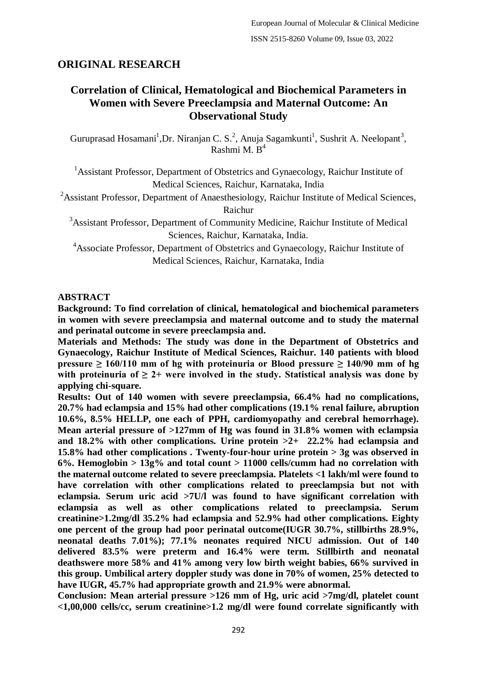# **ORIGINAL RESEARCH**

# **Correlation of Clinical, Hematological and Biochemical Parameters in Women with Severe Preeclampsia and Maternal Outcome: An Observational Study**

Guruprasad Hosamani<sup>1</sup>, Dr. Niranjan C. S.<sup>2</sup>, Anuja Sagamkunti<sup>1</sup>, Sushrit A. Neelopant<sup>3</sup>, Rashmi M.  $B<sup>4</sup>$ 

<sup>1</sup> Assistant Professor, Department of Obstetrics and Gynaecology, Raichur Institute of Medical Sciences, Raichur, Karnataka, India

<sup>2</sup>Assistant Professor, Department of Anaesthesiology, Raichur Institute of Medical Sciences, Raichur

<sup>3</sup>Assistant Professor, Department of Community Medicine, Raichur Institute of Medical Sciences, Raichur, Karnataka, India.

<sup>4</sup>Associate Professor, Department of Obstetrics and Gynaecology, Raichur Institute of Medical Sciences, Raichur, Karnataka, India

### **ABSTRACT**

**Background: To find correlation of clinical, hematological and biochemical parameters in women with severe preeclampsia and maternal outcome and to study the maternal and perinatal outcome in severe preeclampsia and.**

**Materials and Methods: The study was done in the Department of Obstetrics and Gynaecology, Raichur Institute of Medical Sciences, Raichur. 140 patients with blood pressure ≥ 160/110 mm of hg with proteinuria or Blood pressure ≥ 140/90 mm of hg**  with proteinuria of  $\geq 2+$  were involved in the study. Statistical analysis was done by **applying chi-square.**

**Results: Out of 140 women with severe preeclampsia, 66.4% had no complications, 20.7% had eclampsia and 15% had other complications (19.1% renal failure, abruption 10.6%, 8.5% HELLP, one each of PPH, cardiomyopathy and cerebral hemorrhage). Mean arterial pressure of >127mm of Hg was found in 31.8% women with eclampsia and 18.2% with other complications. Urine protein >2+ 22.2% had eclampsia and 15.8% had other complications . Twenty-four-hour urine protein > 3g was observed in 6%. Hemoglobin > 13g% and total count > 11000 cells/cumm had no correlation with the maternal outcome related to severe preeclampsia. Platelets <1 lakh/ml were found to have correlation with other complications related to preeclampsia but not with eclampsia. Serum uric acid >7U/l was found to have significant correlation with eclampsia as well as other complications related to preeclampsia. Serum creatinine>1.2mg/dl 35.2% had eclampsia and 52.9% had other complications. Eighty one percent of the group had poor perinatal outcome(IUGR 30.7%, stillbirths 28.9%, neonatal deaths 7.01%); 77.1% neonates required NICU admission. Out of 140 delivered 83.5% were preterm and 16.4% were term. Stillbirth and neonatal deathswere more 58% and 41% among very low birth weight babies, 66% survived in this group. Umbilical artery doppler study was done in 70% of women, 25% detected to have IUGR, 45.7% had appropriate growth and 21.9% were abnormal.**

**Conclusion: Mean arterial pressure >126 mm of Hg, uric acid >7mg/dl, platelet count <1,00,000 cells/cc, serum creatinine>1.2 mg/dl were found correlate significantly with**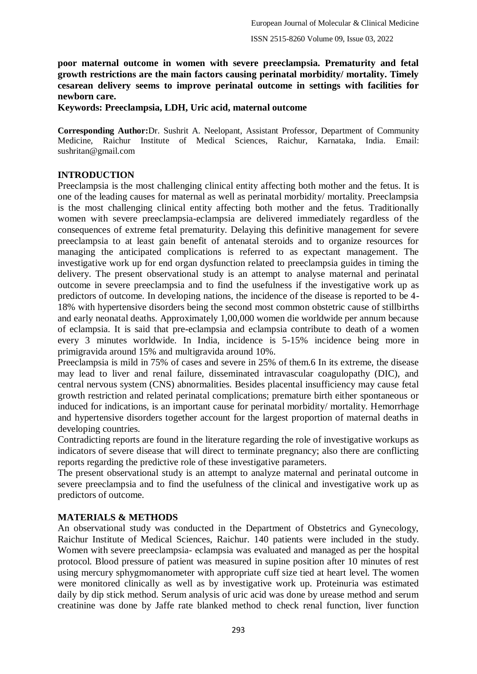**poor maternal outcome in women with severe preeclampsia. Prematurity and fetal growth restrictions are the main factors causing perinatal morbidity/ mortality. Timely cesarean delivery seems to improve perinatal outcome in settings with facilities for newborn care.**

**Keywords: Preeclampsia, LDH, Uric acid, maternal outcome**

**Corresponding Author:**Dr. Sushrit A. Neelopant, Assistant Professor, Department of Community Medicine, Raichur Institute of Medical Sciences, Raichur, Karnataka, India. Email: sushritan@gmail.com

### **INTRODUCTION**

Preeclampsia is the most challenging clinical entity affecting both mother and the fetus. It is one of the leading causes for maternal as well as perinatal morbidity/ mortality. Preeclampsia is the most challenging clinical entity affecting both mother and the fetus. Traditionally women with severe preeclampsia-eclampsia are delivered immediately regardless of the consequences of extreme fetal prematurity. Delaying this definitive management for severe preeclampsia to at least gain benefit of antenatal steroids and to organize resources for managing the anticipated complications is referred to as expectant management. The investigative work up for end organ dysfunction related to preeclampsia guides in timing the delivery. The present observational study is an attempt to analyse maternal and perinatal outcome in severe preeclampsia and to find the usefulness if the investigative work up as predictors of outcome. In developing nations, the incidence of the disease is reported to be 4- 18% with hypertensive disorders being the second most common obstetric cause of stillbirths and early neonatal deaths. Approximately 1,00,000 women die worldwide per annum because of eclampsia. It is said that pre-eclampsia and eclampsia contribute to death of a women every 3 minutes worldwide. In India, incidence is 5-15% incidence being more in primigravida around 15% and multigravida around 10%.

Preeclampsia is mild in 75% of cases and severe in 25% of them.6 In its extreme, the disease may lead to liver and renal failure, disseminated intravascular coagulopathy (DIC), and central nervous system (CNS) abnormalities. Besides placental insufficiency may cause fetal growth restriction and related perinatal complications; premature birth either spontaneous or induced for indications, is an important cause for perinatal morbidity/ mortality. Hemorrhage and hypertensive disorders together account for the largest proportion of maternal deaths in developing countries.

Contradicting reports are found in the literature regarding the role of investigative workups as indicators of severe disease that will direct to terminate pregnancy; also there are conflicting reports regarding the predictive role of these investigative parameters.

The present observational study is an attempt to analyze maternal and perinatal outcome in severe preeclampsia and to find the usefulness of the clinical and investigative work up as predictors of outcome.

### **MATERIALS & METHODS**

An observational study was conducted in the Department of Obstetrics and Gynecology, Raichur Institute of Medical Sciences, Raichur. 140 patients were included in the study. Women with severe preeclampsia- eclampsia was evaluated and managed as per the hospital protocol. Blood pressure of patient was measured in supine position after 10 minutes of rest using mercury sphygmomanometer with appropriate cuff size tied at heart level. The women were monitored clinically as well as by investigative work up. Proteinuria was estimated daily by dip stick method. Serum analysis of uric acid was done by urease method and serum creatinine was done by Jaffe rate blanked method to check renal function, liver function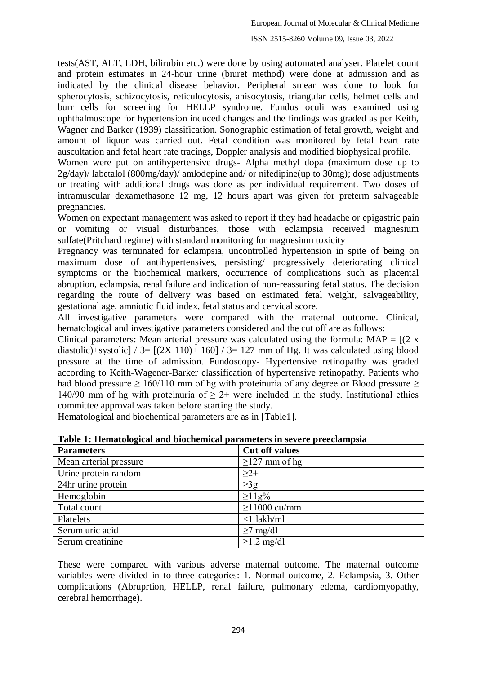tests(AST, ALT, LDH, bilirubin etc.) were done by using automated analyser. Platelet count and protein estimates in 24-hour urine (biuret method) were done at admission and as indicated by the clinical disease behavior. Peripheral smear was done to look for spherocytosis, schizocytosis, reticulocytosis, anisocytosis, triangular cells, helmet cells and burr cells for screening for HELLP syndrome. Fundus oculi was examined using ophthalmoscope for hypertension induced changes and the findings was graded as per Keith, Wagner and Barker (1939) classification. Sonographic estimation of fetal growth, weight and amount of liquor was carried out. Fetal condition was monitored by fetal heart rate auscultation and fetal heart rate tracings, Doppler analysis and modified biophysical profile.

Women were put on antihypertensive drugs- Alpha methyl dopa (maximum dose up to 2g/day)/ labetalol (800mg/day)/ amlodepine and/ or nifedipine(up to 30mg); dose adjustments or treating with additional drugs was done as per individual requirement. Two doses of intramuscular dexamethasone 12 mg, 12 hours apart was given for preterm salvageable pregnancies.

Women on expectant management was asked to report if they had headache or epigastric pain or vomiting or visual disturbances, those with eclampsia received magnesium sulfate(Pritchard regime) with standard monitoring for magnesium toxicity

Pregnancy was terminated for eclampsia, uncontrolled hypertension in spite of being on maximum dose of antihypertensives, persisting/ progressively deteriorating clinical symptoms or the biochemical markers, occurrence of complications such as placental abruption, eclampsia, renal failure and indication of non-reassuring fetal status. The decision regarding the route of delivery was based on estimated fetal weight, salvageability, gestational age, amniotic fluid index, fetal status and cervical score.

All investigative parameters were compared with the maternal outcome. Clinical, hematological and investigative parameters considered and the cut off are as follows:

Clinical parameters: Mean arterial pressure was calculated using the formula:  $MAP = [(2 \times 1)]$ diastolic)+systolic] / 3=  $[(2X 110)+160]$  / 3= 127 mm of Hg. It was calculated using blood pressure at the time of admission. Fundoscopy- Hypertensive retinopathy was graded according to Keith-Wagener-Barker classification of hypertensive retinopathy. Patients who had blood pressure  $\geq 160/110$  mm of hg with proteinuria of any degree or Blood pressure  $\geq$ 140/90 mm of hg with proteinuria of  $> 2+$  were included in the study. Institutional ethics committee approval was taken before starting the study.

Hematological and biochemical parameters are as in [Table1].

| <b>Parameters</b>      | <b>Cut off values</b> |
|------------------------|-----------------------|
| Mean arterial pressure | $\geq$ 127 mm of hg   |
| Urine protein random   | $\geq$ 2+             |
| 24hr urine protein     | $\geq$ 3g             |
| Hemoglobin             | $\geq$ 11g%           |
| Total count            | $\geq$ 1000 cu/mm     |
| Platelets              | $<1$ lakh/ml          |
| Serum uric acid        | $\geq$ 7 mg/dl        |
| Serum creatinine       | $\geq$ 1.2 mg/dl      |

**Table 1: Hematological and biochemical parameters in severe preeclampsia**

These were compared with various adverse maternal outcome. The maternal outcome variables were divided in to three categories: 1. Normal outcome, 2. Eclampsia, 3. Other complications (Abruprtion, HELLP, renal failure, pulmonary edema, cardiomyopathy, cerebral hemorrhage).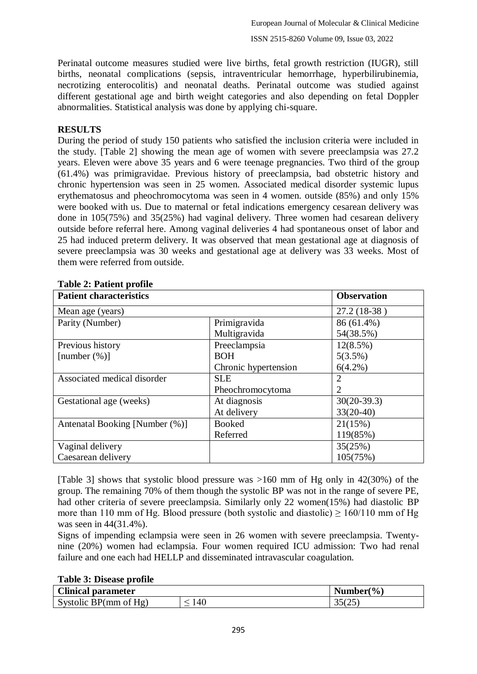Perinatal outcome measures studied were live births, fetal growth restriction (IUGR), still births, neonatal complications (sepsis, intraventricular hemorrhage, hyperbilirubinemia, necrotizing enterocolitis) and neonatal deaths. Perinatal outcome was studied against different gestational age and birth weight categories and also depending on fetal Doppler abnormalities. Statistical analysis was done by applying chi-square.

## **RESULTS**

During the period of study 150 patients who satisfied the inclusion criteria were included in the study. [Table 2] showing the mean age of women with severe preeclampsia was 27.2 years. Eleven were above 35 years and 6 were teenage pregnancies. Two third of the group (61.4%) was primigravidae. Previous history of preeclampsia, bad obstetric history and chronic hypertension was seen in 25 women. Associated medical disorder systemic lupus erythematosus and pheochromocytoma was seen in 4 women. outside (85%) and only 15% were booked with us. Due to maternal or fetal indications emergency cesarean delivery was done in 105(75%) and 35(25%) had vaginal delivery. Three women had cesarean delivery outside before referral here. Among vaginal deliveries 4 had spontaneous onset of labor and 25 had induced preterm delivery. It was observed that mean gestational age at diagnosis of severe preeclampsia was 30 weeks and gestational age at delivery was 33 weeks. Most of them were referred from outside.

| rabic 2. I aucht prome         |                      |               |
|--------------------------------|----------------------|---------------|
| <b>Patient characteristics</b> | <b>Observation</b>   |               |
| Mean age (years)               |                      | 27.2 (18-38)  |
| Parity (Number)                | Primigravida         | 86 (61.4%)    |
|                                | Multigravida         | 54(38.5%)     |
| Previous history               | Preeclampsia         | 12(8.5%)      |
| [number $(\%)$ ]               | <b>BOH</b>           | 5(3.5%)       |
|                                | Chronic hypertension | $6(4.2\%)$    |
| Associated medical disorder    | <b>SLE</b>           | 2             |
|                                | Pheochromocytoma     | 2             |
| Gestational age (weeks)        | At diagnosis         | $30(20-39.3)$ |
|                                | At delivery          | $33(20-40)$   |
| Antenatal Booking [Number (%)] | <b>Booked</b>        | 21(15%)       |
|                                | Referred             | 119(85%)      |
| Vaginal delivery               |                      | 35(25%)       |
| Caesarean delivery             |                      | 105(75%)      |

|  | <b>Table 2: Patient profile</b> |  |
|--|---------------------------------|--|
|  |                                 |  |

[Table 3] shows that systolic blood pressure was >160 mm of Hg only in 42(30%) of the group. The remaining 70% of them though the systolic BP was not in the range of severe PE, had other criteria of severe preeclampsia. Similarly only 22 women(15%) had diastolic BP more than 110 mm of Hg. Blood pressure (both systolic and diastolic)  $> 160/110$  mm of Hg was seen in 44(31.4%).

Signs of impending eclampsia were seen in 26 women with severe preeclampsia. Twentynine (20%) women had eclampsia. Four women required ICU admission: Two had renal failure and one each had HELLP and disseminated intravascular coagulation.

### **Table 3: Disease profile**

| <b>Clinical parameter</b> |     | Number( $\%$ )               |
|---------------------------|-----|------------------------------|
| Systolic BP( $mm$ of Hg)  | 140 | $\cap$ = $\cap$ =<br>ت<br>ັບ |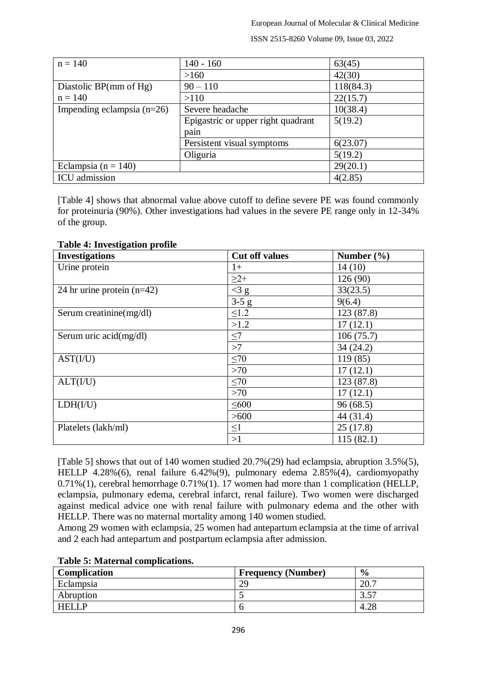ISSN 2515-8260 Volume 09, Issue 03, 2022

| $n = 140$                    | $140 - 160$                        | 63(45)    |
|------------------------------|------------------------------------|-----------|
|                              | >160                               | 42(30)    |
| Diastolic BP(mm of Hg)       | $90 - 110$                         | 118(84.3) |
| $n = 140$                    | >110                               | 22(15.7)  |
| Impending eclampsia $(n=26)$ | Severe headache                    | 10(38.4)  |
|                              | Epigastric or upper right quadrant | 5(19.2)   |
|                              | pain                               |           |
|                              | Persistent visual symptoms         | 6(23.07)  |
|                              | Oliguria                           | 5(19.2)   |
| Eclampsia ( $n = 140$ )      |                                    | 29(20.1)  |
| ICU admission                |                                    | 4(2.85)   |

[Table 4] shows that abnormal value above cutoff to define severe PE was found commonly for proteinuria (90%). Other investigations had values in the severe PE range only in 12-34% of the group.

#### **Table 4: Investigation profile**

| <b>Investigations</b>        | <b>Cut off values</b> | Number $(\% )$ |
|------------------------------|-----------------------|----------------|
| Urine protein                | $1+$                  | 14(10)         |
|                              | $\geq$ 2+             | 126 (90)       |
| 24 hr urine protein $(n=42)$ | $<$ 3 $g$             | 33(23.5)       |
|                              | $3-5$ g               | 9(6.4)         |
| Serum creatinine(mg/dl)      | $\leq1.2$             | 123 (87.8)     |
|                              | >1.2                  | 17(12.1)       |
| Serum uric acid(mg/dl)       | $\leq$ 7              | 106(75.7)      |
|                              | >7                    | 34(24.2)       |
| AST(I/U)                     | $\leq 70$             | 119(85)        |
|                              | $>70$                 | 17(12.1)       |
| ALT(I/U)                     | $\leq 70$             | 123 (87.8)     |
|                              | $>70$                 | 17(12.1)       |
| LDH(I/U)                     | $\leq 600$            | 96(68.5)       |
|                              | >600                  | 44 (31.4)      |
| Platelets (lakh/ml)          | $\leq1$               | 25(17.8)       |
|                              | >1                    | 115(82.1)      |

[Table 5] shows that out of 140 women studied 20.7%(29) had eclampsia, abruption 3.5%(5), HELLP 4.28%(6), renal failure 6.42%(9), pulmonary edema 2.85%(4), cardiomyopathy 0.71%(1), cerebral hemorrhage 0.71%(1). 17 women had more than 1 complication (HELLP, eclampsia, pulmonary edema, cerebral infarct, renal failure). Two women were discharged against medical advice one with renal failure with pulmonary edema and the other with HELLP. There was no maternal mortality among 140 women studied.

Among 29 women with eclampsia, 25 women had antepartum eclampsia at the time of arrival and 2 each had antepartum and postpartum eclampsia after admission.

#### **Table 5: Maternal complications.**

| Complication | <b>Frequency (Number)</b> | $\frac{0}{0}$ |
|--------------|---------------------------|---------------|
| Eclampsia    | 29                        | 20.7          |
| Abruption    |                           | 257<br>J.J    |
| <b>HELLP</b> |                           | $\Delta$      |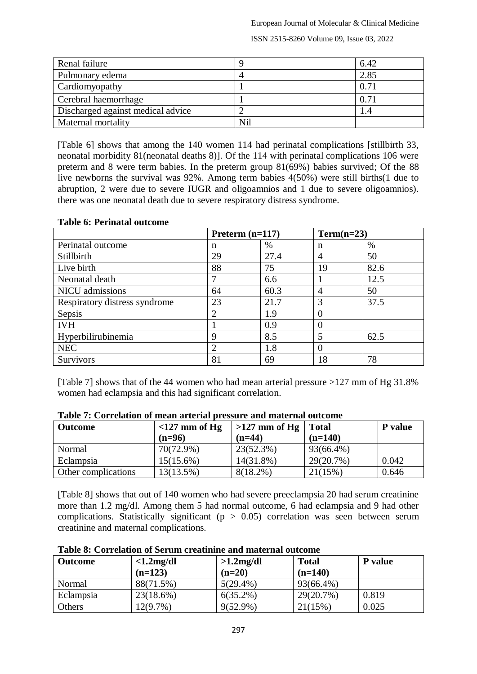European Journal of Molecular & Clinical Medicine

ISSN 2515-8260 Volume 09, Issue 03, 2022

| Renal failure                     |     | 6.42 |
|-----------------------------------|-----|------|
| Pulmonary edema                   |     | 2.85 |
| Cardiomyopathy                    |     | 0.71 |
| Cerebral haemorrhage              |     | 0.71 |
| Discharged against medical advice |     | 1.4  |
| Maternal mortality                | Nil |      |

[Table 6] shows that among the 140 women 114 had perinatal complications [stillbirth 33, neonatal morbidity 81(neonatal deaths 8)]. Of the 114 with perinatal complications 106 were preterm and 8 were term babies. In the preterm group 81(69%) babies survived; Of the 88 live newborns the survival was 92%. Among term babies 4(50%) were still births(1 due to abruption, 2 were due to severe IUGR and oligoamnios and 1 due to severe oligoamnios). there was one neonatal death due to severe respiratory distress syndrome.

|                               | Preterm $(n=117)$ |      | $Term(n=23)$     |      |
|-------------------------------|-------------------|------|------------------|------|
| Perinatal outcome             | n                 | %    | n                | %    |
| Stillbirth                    | 29                | 27.4 | 4                | 50   |
| Live birth                    | 88                | 75   | 19               | 82.6 |
| Neonatal death                |                   | 6.6  |                  | 12.5 |
| <b>NICU</b> admissions        | 64                | 60.3 | 4                | 50   |
| Respiratory distress syndrome | 23                | 21.7 | 3                | 37.5 |
| Sepsis                        |                   | 1.9  | O                |      |
| <b>IVH</b>                    |                   | 0.9  | $\left( \right)$ |      |
| Hyperbilirubinemia            | Q                 | 8.5  | 5                | 62.5 |
| <b>NEC</b>                    |                   | 1.8  | 0                |      |
| <b>Survivors</b>              | 81                | 69   | 18               | 78   |

### **Table 6: Perinatal outcome**

[Table 7] shows that of the 44 women who had mean arterial pressure >127 mm of Hg 31.8% women had eclampsia and this had significant correlation.

| <b>Outcome</b>      | $<$ 127 mm of Hg | $>127$ mm of Hg | <b>Total</b> | P value |
|---------------------|------------------|-----------------|--------------|---------|
|                     | $(n=96)$         | $(n=44)$        | $(n=140)$    |         |
| Normal              | 70(72.9%)        | 23(52.3%)       | 93(66.4%)    |         |
| Eclampsia           | $15(15.6\%)$     | $14(31.8\%)$    | $29(20.7\%)$ | 0.042   |
| Other complications | 13(13.5%)        | $8(18.2\%)$     | 21(15%)      | 0.646   |

**Table 7: Correlation of mean arterial pressure and maternal outcome**

[Table 8] shows that out of 140 women who had severe preeclampsia 20 had serum creatinine more than 1.2 mg/dl. Among them 5 had normal outcome, 6 had eclampsia and 9 had other complications. Statistically significant ( $p > 0.05$ ) correlation was seen between serum creatinine and maternal complications.

| <b>Outcome</b> | $<1.2$ mg/dl<br>$(n=123)$ | $>1.2$ mg/dl<br>$(n=20)$ | <b>Total</b><br>$(n=140)$ | P value |
|----------------|---------------------------|--------------------------|---------------------------|---------|
| Normal         | 88(71.5%)                 | $5(29.4\%)$              | 93(66.4%)                 |         |
| Eclampsia      | 23(18.6%)                 | $6(35.2\%)$              | 29(20.7%)                 | 0.819   |
| Others         | $12(9.7\%)$               | $9(52.9\%)$              | 21(15%)                   | 0.025   |

#### **Table 8: Correlation of Serum creatinine and maternal outcome**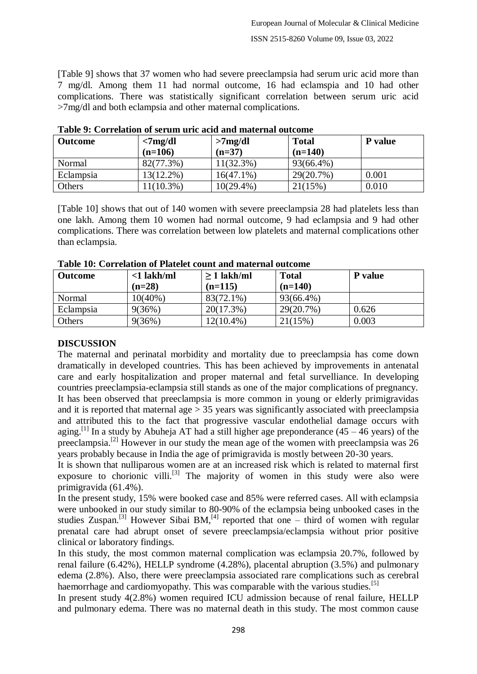[Table 9] shows that 37 women who had severe preeclampsia had serum uric acid more than 7 mg/dl. Among them 11 had normal outcome, 16 had eclamspia and 10 had other complications. There was statistically significant correlation between serum uric acid >7mg/dl and both eclampsia and other maternal complications.

| <b>Outcome</b> | $7mg/dl$<br>$(n=106)$ | >7mg/dl<br>$(n=37)$ | <b>Total</b><br>$(n=140)$ | P value |  |
|----------------|-----------------------|---------------------|---------------------------|---------|--|
| Normal         | 82(77.3%)             | 11(32.3%)           | 93(66.4%)                 |         |  |
| Eclampsia      | $13(12.2\%)$          | $16(47.1\%)$        | 29(20.7%)                 | 0.001   |  |
| Others         | $11(10.3\%)$          | $10(29.4\%)$        | 21(15%)                   | 0.010   |  |

**Table 9: Correlation of serum uric acid and maternal outcome**

[Table 10] shows that out of 140 women with severe preeclampsia 28 had platelets less than one lakh. Among them 10 women had normal outcome, 9 had eclampsia and 9 had other complications. There was correlation between low platelets and maternal complications other than eclampsia.

| Table To, Correlation of Flatelet count and material outcome |               |                  |              |         |
|--------------------------------------------------------------|---------------|------------------|--------------|---------|
| <b>Outcome</b>                                               | $<$ 1 lakh/ml | $\geq 1$ lakh/ml | <b>Total</b> | P value |
|                                                              | $(n=28)$      | $(n=115)$        | $(n=140)$    |         |
| Normal                                                       | $10(40\%)$    | 83(72.1%)        | 93(66.4%)    |         |
| Eclampsia                                                    | 9(36%)        | $20(17.3\%)$     | 29(20.7%)    | 0.626   |
| Others                                                       | 9(36%)        | 12(10.4%)        | 21(15%)      | 0.003   |

**Table 10: Correlation of Platelet count and maternal outcome**

### **DISCUSSION**

The maternal and perinatal morbidity and mortality due to preeclampsia has come down dramatically in developed countries. This has been achieved by improvements in antenatal care and early hospitalization and proper maternal and fetal survelliance. In developing countries preeclampsia-eclampsia still stands as one of the major complications of pregnancy. It has been observed that preeclampsia is more common in young or elderly primigravidas and it is reported that maternal age  $> 35$  years was significantly associated with preeclampsia and attributed this to the fact that progressive vascular endothelial damage occurs with aging.<sup>[1]</sup> In a study by Abuheja AT had a still higher age preponderance (45 – 46 years) of the preeclampsia.<sup>[2]</sup> However in our study the mean age of the women with preeclampsia was 26 years probably because in India the age of primigravida is mostly between 20-30 years.

It is shown that nulliparous women are at an increased risk which is related to maternal first exposure to chorionic villi.<sup>[3]</sup> The majority of women in this study were also were primigravida (61.4%).

In the present study, 15% were booked case and 85% were referred cases. All with eclampsia were unbooked in our study similar to 80-90% of the eclampsia being unbooked cases in the studies Zuspan.<sup>[3]</sup> However Sibai BM,<sup>[4]</sup> reported that one – third of women with regular prenatal care had abrupt onset of severe preeclampsia/eclampsia without prior positive clinical or laboratory findings.

In this study, the most common maternal complication was eclampsia 20.7%, followed by renal failure (6.42%), HELLP syndrome (4.28%), placental abruption (3.5%) and pulmonary edema (2.8%). Also, there were preeclampsia associated rare complications such as cerebral haemorrhage and cardiomyopathy. This was comparable with the various studies.<sup>[5]</sup>

In present study 4(2.8%) women required ICU admission because of renal failure, HELLP and pulmonary edema. There was no maternal death in this study. The most common cause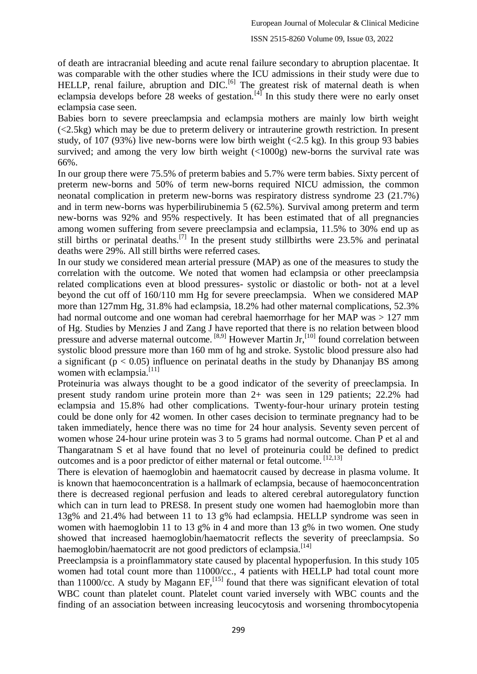of death are intracranial bleeding and acute renal failure secondary to abruption placentae. It was comparable with the other studies where the ICU admissions in their study were due to HELLP, renal failure, abruption and  $DIC<sup>[6]</sup>$ . The greatest risk of maternal death is when eclampsia develops before 28 weeks of gestation.<sup>[4]</sup> In this study there were no early onset eclampsia case seen.

Babies born to severe preeclampsia and eclampsia mothers are mainly low birth weight  $\left($  <2.5kg) which may be due to preterm delivery or intrauterine growth restriction. In present study, of 107 (93%) live new-borns were low birth weight  $\langle 2.5 \text{ kg} \rangle$ . In this group 93 babies survived; and among the very low birth weight  $\left($ <1000g) new-borns the survival rate was 66%.

In our group there were 75.5% of preterm babies and 5.7% were term babies. Sixty percent of preterm new-borns and 50% of term new-borns required NICU admission, the common neonatal complication in preterm new-borns was respiratory distress syndrome 23 (21.7%) and in term new-borns was hyperbilirubinemia 5 (62.5%). Survival among preterm and term new-borns was 92% and 95% respectively. It has been estimated that of all pregnancies among women suffering from severe preeclampsia and eclampsia, 11.5% to 30% end up as still births or perinatal deaths.<sup>[7]</sup> In the present study stillbirths were  $23.5\%$  and perinatal deaths were 29%. All still births were referred cases.

In our study we considered mean arterial pressure (MAP) as one of the measures to study the correlation with the outcome. We noted that women had eclampsia or other preeclampsia related complications even at blood pressures- systolic or diastolic or both- not at a level beyond the cut off of 160/110 mm Hg for severe preeclampsia. When we considered MAP more than 127mm Hg, 31.8% had eclampsia, 18.2% had other maternal complications, 52.3% had normal outcome and one woman had cerebral haemorrhage for her MAP was > 127 mm of Hg. Studies by Menzies J and Zang J have reported that there is no relation between blood pressure and adverse maternal outcome. <sup>[8,9]</sup> However Martin Jr,<sup>[10]</sup> found correlation between systolic blood pressure more than 160 mm of hg and stroke. Systolic blood pressure also had a significant ( $p < 0.05$ ) influence on perinatal deaths in the study by Dhananjay BS among women with eclampsia. $^{[11]}$ 

Proteinuria was always thought to be a good indicator of the severity of preeclampsia. In present study random urine protein more than 2+ was seen in 129 patients; 22.2% had eclampsia and 15.8% had other complications. Twenty-four-hour urinary protein testing could be done only for 42 women. In other cases decision to terminate pregnancy had to be taken immediately, hence there was no time for 24 hour analysis. Seventy seven percent of women whose 24-hour urine protein was 3 to 5 grams had normal outcome. Chan P et al and Thangaratnam S et al have found that no level of proteinuria could be defined to predict outcomes and is a poor predictor of either maternal or fetal outcome. [12,13]

There is elevation of haemoglobin and haematocrit caused by decrease in plasma volume. It is known that haemoconcentration is a hallmark of eclampsia, because of haemoconcentration there is decreased regional perfusion and leads to altered cerebral autoregulatory function which can in turn lead to PRES8. In present study one women had haemoglobin more than 13g% and 21.4% had between 11 to 13 g% had eclampsia. HELLP syndrome was seen in women with haemoglobin 11 to 13 g% in 4 and more than 13 g% in two women. One study showed that increased haemoglobin/haematocrit reflects the severity of preeclampsia. So haemoglobin/haematocrit are not good predictors of eclampsia.<sup>[14]</sup>

Preeclampsia is a proinflammatory state caused by placental hypoperfusion. In this study 105 women had total count more than 11000/cc., 4 patients with HELLP had total count more than 11000/cc. A study by Magann  $EF$ ,  $^{[15]}$  found that there was significant elevation of total WBC count than platelet count. Platelet count varied inversely with WBC counts and the finding of an association between increasing leucocytosis and worsening thrombocytopenia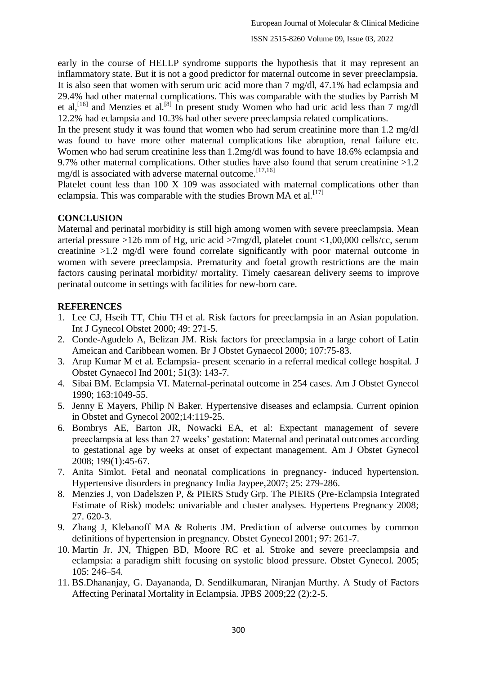early in the course of HELLP syndrome supports the hypothesis that it may represent an inflammatory state. But it is not a good predictor for maternal outcome in sever preeclampsia. It is also seen that women with serum uric acid more than 7 mg/dl, 47.1% had eclampsia and 29.4% had other maternal complications. This was comparable with the studies by Parrish M et al,<sup>[16]</sup> and Menzies et al.<sup>[8]</sup> In present study Women who had uric acid less than 7 mg/dl 12.2% had eclampsia and 10.3% had other severe preeclampsia related complications.

In the present study it was found that women who had serum creatinine more than 1.2 mg/dl was found to have more other maternal complications like abruption, renal failure etc. Women who had serum creatinine less than 1.2mg/dl was found to have 18.6% eclampsia and 9.7% other maternal complications. Other studies have also found that serum creatinine >1.2 mg/dl is associated with adverse maternal outcome.<sup>[17,16]</sup>

Platelet count less than 100 X 109 was associated with maternal complications other than eclampsia. This was comparable with the studies Brown MA et al.  $^{[17]}$ 

# **CONCLUSION**

Maternal and perinatal morbidity is still high among women with severe preeclampsia. Mean arterial pressure >126 mm of Hg, uric acid >7mg/dl, platelet count <1,00,000 cells/cc, serum creatinine >1.2 mg/dl were found correlate significantly with poor maternal outcome in women with severe preeclampsia. Prematurity and foetal growth restrictions are the main factors causing perinatal morbidity/ mortality. Timely caesarean delivery seems to improve perinatal outcome in settings with facilities for new-born care.

# **REFERENCES**

- 1. Lee CJ, Hseih TT, Chiu TH et al. Risk factors for preeclampsia in an Asian population. Int J Gynecol Obstet 2000; 49: 271-5.
- 2. Conde-Agudelo A, Belizan JM. Risk factors for preeclampsia in a large cohort of Latin Ameican and Caribbean women. Br J Obstet Gynaecol 2000; 107:75-83.
- 3. Arup Kumar M et al. Eclampsia- present scenario in a referral medical college hospital. J Obstet Gynaecol Ind 2001; 51(3): 143-7.
- 4. Sibai BM. Eclampsia VI. Maternal-perinatal outcome in 254 cases. Am J Obstet Gynecol 1990; 163:1049-55.
- 5. Jenny E Mayers, Philip N Baker. Hypertensive diseases and eclampsia. Current opinion in Obstet and Gynecol 2002;14:119-25.
- 6. Bombrys AE, Barton JR, Nowacki EA, et al: Expectant management of severe preeclampsia at less than 27 weeks' gestation: Maternal and perinatal outcomes according to gestational age by weeks at onset of expectant management. Am J Obstet Gynecol 2008; 199(1):45-67.
- 7. Anita Simlot. Fetal and neonatal complications in pregnancy- induced hypertension. Hypertensive disorders in pregnancy India Jaypee,2007; 25: 279-286.
- 8. Menzies J, von Dadelszen P, & PIERS Study Grp. The PIERS (Pre-Eclampsia Integrated Estimate of Risk) models: univariable and cluster analyses. Hypertens Pregnancy 2008; 27. 620-3.
- 9. Zhang J, Klebanoff MA & Roberts JM. Prediction of adverse outcomes by common definitions of hypertension in pregnancy. Obstet Gynecol 2001; 97: 261-7.
- 10. Martin Jr. JN, Thigpen BD, Moore RC et al. Stroke and severe preeclampsia and eclampsia: a paradigm shift focusing on systolic blood pressure. Obstet Gynecol. 2005; 105: 246–54.
- 11. BS.Dhananjay, G. Dayananda, D. Sendilkumaran, Niranjan Murthy. A Study of Factors Affecting Perinatal Mortality in Eclampsia. JPBS 2009;22 (2):2-5.